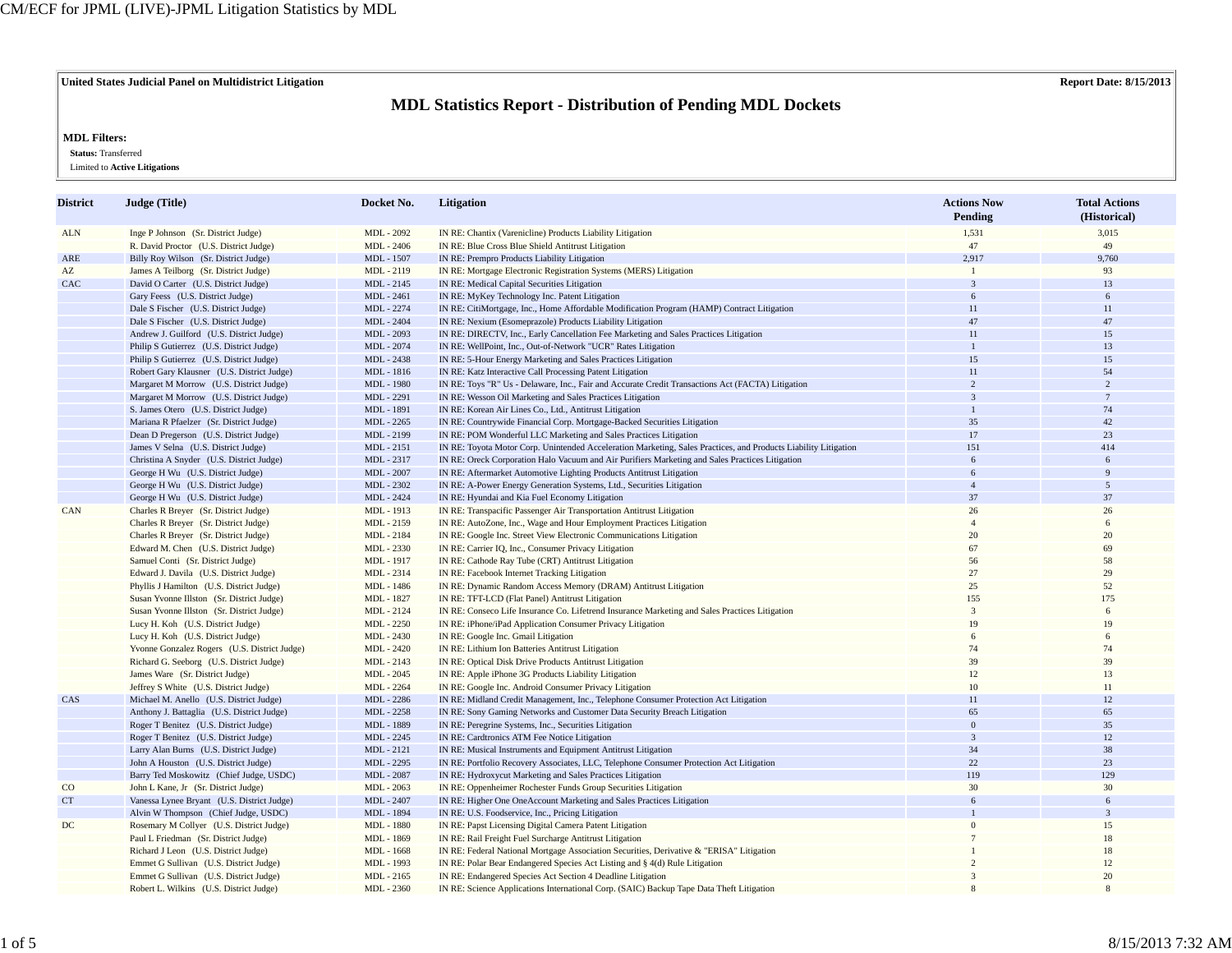**United States Judicial Panel on Multidistrict Litigation Report Date: 8/15/2013**

## **MDL Statistics Report - Distribution of Pending MDL Dockets**

## **MDL Filters:**

 **Status:** Transferred

Limited to **Active Litigations**

| District    | Judge (Title)                                | Docket No.        | <b>Litigation</b>                                                                                               | <b>Actions Now</b><br>Pending | <b>Total Actions</b><br>(Historical) |
|-------------|----------------------------------------------|-------------------|-----------------------------------------------------------------------------------------------------------------|-------------------------------|--------------------------------------|
| <b>ALN</b>  | Inge P Johnson (Sr. District Judge)          | MDL - 2092        | IN RE: Chantix (Varenicline) Products Liability Litigation                                                      | 1,531                         | 3,015                                |
|             | R. David Proctor (U.S. District Judge)       | MDL - 2406        | IN RE: Blue Cross Blue Shield Antitrust Litigation                                                              | 47                            | 49                                   |
| ARE         | Billy Roy Wilson (Sr. District Judge)        | MDL - 1507        | IN RE: Prempro Products Liability Litigation                                                                    | 2,917                         | 9,760                                |
| AZ          | James A Teilborg (Sr. District Judge)        | MDL - 2119        | IN RE: Mortgage Electronic Registration Systems (MERS) Litigation                                               | $\mathbf{1}$                  | 93                                   |
| CAC         | David O Carter (U.S. District Judge)         | MDL - 2145        | IN RE: Medical Capital Securities Litigation                                                                    | $\overline{3}$                | 13                                   |
|             | Gary Feess (U.S. District Judge)             | MDL - 2461        | IN RE: MyKey Technology Inc. Patent Litigation                                                                  | 6                             | 6                                    |
|             | Dale S Fischer (U.S. District Judge)         | MDL - 2274        | IN RE: CitiMortgage, Inc., Home Affordable Modification Program (HAMP) Contract Litigation                      | 11                            | 11                                   |
|             | Dale S Fischer (U.S. District Judge)         | <b>MDL</b> - 2404 | IN RE: Nexium (Esomeprazole) Products Liability Litigation                                                      | 47                            | 47                                   |
|             | Andrew J. Guilford (U.S. District Judge)     | MDL - 2093        | IN RE: DIRECTV, Inc., Early Cancellation Fee Marketing and Sales Practices Litigation                           | 11                            | 15                                   |
|             | Philip S Gutierrez (U.S. District Judge)     | MDL - 2074        | IN RE: WellPoint, Inc., Out-of-Network "UCR" Rates Litigation                                                   | $\mathbf{1}$                  | 13                                   |
|             | Philip S Gutierrez (U.S. District Judge)     | MDL - 2438        | IN RE: 5-Hour Energy Marketing and Sales Practices Litigation                                                   | 15                            | 15                                   |
|             | Robert Gary Klausner (U.S. District Judge)   | MDL - 1816        | IN RE: Katz Interactive Call Processing Patent Litigation                                                       | 11                            | 54                                   |
|             | Margaret M Morrow (U.S. District Judge)      | MDL - 1980        | IN RE: Toys "R" Us - Delaware, Inc., Fair and Accurate Credit Transactions Act (FACTA) Litigation               | $\overline{c}$                | 2                                    |
|             | Margaret M Morrow (U.S. District Judge)      | MDL - 2291        | IN RE: Wesson Oil Marketing and Sales Practices Litigation                                                      | $\overline{3}$                | $7\phantom{.0}$                      |
|             | S. James Otero (U.S. District Judge)         | MDL - 1891        | IN RE: Korean Air Lines Co., Ltd., Antitrust Litigation                                                         |                               | 74                                   |
|             | Mariana R Pfaelzer (Sr. District Judge)      | MDL - 2265        | IN RE: Countrywide Financial Corp. Mortgage-Backed Securities Litigation                                        | 35                            | 42                                   |
|             | Dean D Pregerson (U.S. District Judge)       | MDL - 2199        | IN RE: POM Wonderful LLC Marketing and Sales Practices Litigation                                               | 17                            | 23                                   |
|             | James V Selna (U.S. District Judge)          | MDL - 2151        | IN RE: Toyota Motor Corp. Unintended Acceleration Marketing, Sales Practices, and Products Liability Litigation | 151                           | 414                                  |
|             | Christina A Snyder (U.S. District Judge)     | MDL - 2317        | IN RE: Oreck Corporation Halo Vacuum and Air Purifiers Marketing and Sales Practices Litigation                 | 6                             | 6                                    |
|             | George H Wu (U.S. District Judge)            | <b>MDL</b> - 2007 | IN RE: Aftermarket Automotive Lighting Products Antitrust Litigation                                            | 6                             | $\mathbf{q}$                         |
|             | George H Wu (U.S. District Judge)            | MDL - 2302        | IN RE: A-Power Energy Generation Systems, Ltd., Securities Litigation                                           | $\overline{4}$                | 5                                    |
|             | George H Wu (U.S. District Judge)            | MDL - 2424        | IN RE: Hyundai and Kia Fuel Economy Litigation                                                                  | 37                            | 37                                   |
| CAN         | Charles R Breyer (Sr. District Judge)        | MDL - 1913        | IN RE: Transpacific Passenger Air Transportation Antitrust Litigation                                           | 26                            | 26                                   |
|             | Charles R Breyer (Sr. District Judge)        | MDL - 2159        | IN RE: AutoZone, Inc., Wage and Hour Employment Practices Litigation                                            | $\overline{A}$                | 6                                    |
|             | Charles R Breyer (Sr. District Judge)        | MDL - 2184        | IN RE: Google Inc. Street View Electronic Communications Litigation                                             | 20                            | 20                                   |
|             | Edward M. Chen (U.S. District Judge)         | MDL - 2330        | IN RE: Carrier IQ, Inc., Consumer Privacy Litigation                                                            | 67                            | 69                                   |
|             | Samuel Conti (Sr. District Judge)            | MDL - 1917        | IN RE: Cathode Ray Tube (CRT) Antitrust Litigation                                                              | 56                            | 58                                   |
|             | Edward J. Davila (U.S. District Judge)       | MDL - 2314        | IN RE: Facebook Internet Tracking Litigation                                                                    | 27                            | 29                                   |
|             | Phyllis J Hamilton (U.S. District Judge)     | MDL - 1486        | IN RE: Dynamic Random Access Memory (DRAM) Antitrust Litigation                                                 | 25                            | 52                                   |
|             | Susan Yvonne Illston (Sr. District Judge)    | MDL - 1827        | IN RE: TFT-LCD (Flat Panel) Antitrust Litigation                                                                | 155                           | 175                                  |
|             | Susan Yvonne Illston (Sr. District Judge)    | MDL - 2124        | IN RE: Conseco Life Insurance Co. Lifetrend Insurance Marketing and Sales Practices Litigation                  | 3                             | 6                                    |
|             | Lucy H. Koh (U.S. District Judge)            | MDL - 2250        | IN RE: iPhone/iPad Application Consumer Privacy Litigation                                                      | 19                            | 19                                   |
|             | Lucy H. Koh (U.S. District Judge)            | MDL - 2430        | IN RE: Google Inc. Gmail Litigation                                                                             |                               | 6                                    |
|             | Yvonne Gonzalez Rogers (U.S. District Judge) | MDL - 2420        | IN RE: Lithium Ion Batteries Antitrust Litigation                                                               | 74                            | 74                                   |
|             | Richard G. Seeborg (U.S. District Judge)     | MDL - 2143        | IN RE: Optical Disk Drive Products Antitrust Litigation                                                         | 39                            | 39                                   |
|             | James Ware (Sr. District Judge)              | MDL - 2045        | IN RE: Apple iPhone 3G Products Liability Litigation                                                            | 12                            | 13                                   |
|             | Jeffrey S White (U.S. District Judge)        | MDL - 2264        | IN RE: Google Inc. Android Consumer Privacy Litigation                                                          | 10                            | 11                                   |
| CAS         | Michael M. Anello (U.S. District Judge)      | MDL - 2286        | IN RE: Midland Credit Management, Inc., Telephone Consumer Protection Act Litigation                            | 11                            | 12                                   |
|             | Anthony J. Battaglia (U.S. District Judge)   | MDL - 2258        | IN RE: Sony Gaming Networks and Customer Data Security Breach Litigation                                        | 65                            | 65                                   |
|             | Roger T Benitez (U.S. District Judge)        | MDL - 1889        | IN RE: Peregrine Systems, Inc., Securities Litigation                                                           | $\mathbf{0}$                  | 35                                   |
|             | Roger T Benitez (U.S. District Judge)        | MDL - 2245        | IN RE: Cardtronics ATM Fee Notice Litigation                                                                    | $\overline{3}$                | 12                                   |
|             | Larry Alan Burns (U.S. District Judge)       | MDL - 2121        | IN RE: Musical Instruments and Equipment Antitrust Litigation                                                   | 34                            | 38                                   |
|             | John A Houston (U.S. District Judge)         | MDL - 2295        | IN RE: Portfolio Recovery Associates, LLC, Telephone Consumer Protection Act Litigation                         | 22                            | 23                                   |
|             | Barry Ted Moskowitz (Chief Judge, USDC)      | MDL - 2087        | IN RE: Hydroxycut Marketing and Sales Practices Litigation                                                      | 119                           | 129                                  |
| $_{\rm CO}$ | John L Kane, Jr (Sr. District Judge)         | MDL - 2063        | IN RE: Oppenheimer Rochester Funds Group Securities Litigation                                                  | 30                            | 30                                   |
| CT          | Vanessa Lynee Bryant (U.S. District Judge)   | MDL - 2407        | IN RE: Higher One OneAccount Marketing and Sales Practices Litigation                                           | 6                             | 6                                    |
|             | Alvin W Thompson (Chief Judge, USDC)         | MDL - 1894        | IN RE: U.S. Foodservice, Inc., Pricing Litigation                                                               |                               | $\overline{3}$                       |
| DC          | Rosemary M Collyer (U.S. District Judge)     | <b>MDL</b> - 1880 | IN RE: Papst Licensing Digital Camera Patent Litigation                                                         |                               | 15                                   |
|             | Paul L Friedman (Sr. District Judge)         | MDL - 1869        | IN RE: Rail Freight Fuel Surcharge Antitrust Litigation                                                         |                               | 18                                   |
|             | Richard J Leon (U.S. District Judge)         | MDL - 1668        | IN RE: Federal National Mortgage Association Securities, Derivative & "ERISA" Litigation                        |                               | 18                                   |
|             | Emmet G Sullivan (U.S. District Judge)       | MDL - 1993        | IN RE: Polar Bear Endangered Species Act Listing and § 4(d) Rule Litigation                                     |                               | 12                                   |
|             | Emmet G Sullivan (U.S. District Judge)       | MDL - 2165        | IN RE: Endangered Species Act Section 4 Deadline Litigation                                                     | $\mathbf{z}$                  | 20                                   |
|             | Robert L. Wilkins (U.S. District Judge)      | MDL - 2360        | IN RE: Science Applications International Corp. (SAIC) Backup Tape Data Theft Litigation                        |                               | $\mathbf{R}$                         |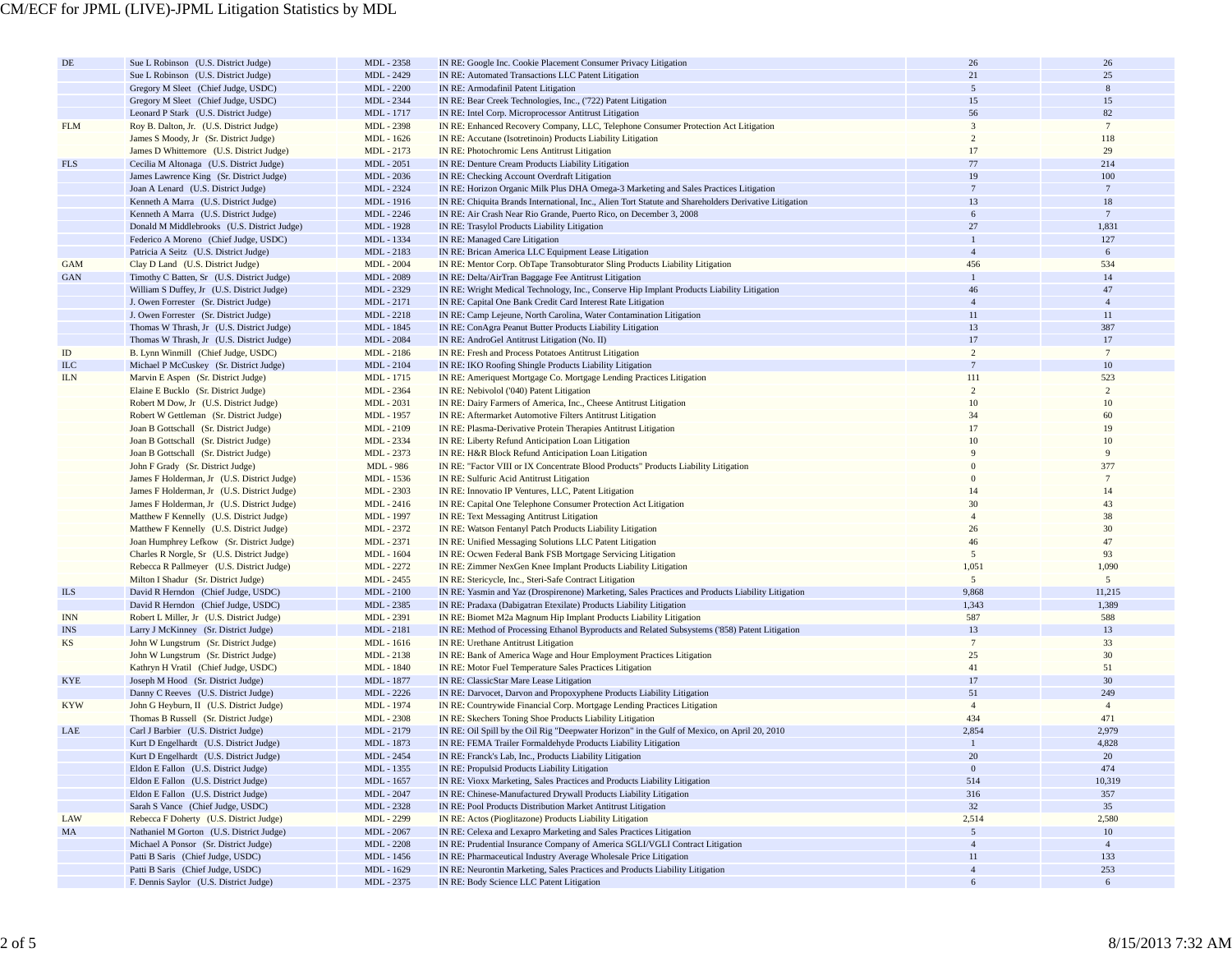| $\rm DE$   | Sue L Robinson (U.S. District Judge)        | MDL - 2358        | IN RE: Google Inc. Cookie Placement Consumer Privacy Litigation                                                                 | 26                                | 26              |
|------------|---------------------------------------------|-------------------|---------------------------------------------------------------------------------------------------------------------------------|-----------------------------------|-----------------|
|            | Sue L Robinson (U.S. District Judge)        | MDL - 2429        | IN RE: Automated Transactions LLC Patent Litigation                                                                             | 21                                | 25              |
|            | Gregory M Sleet (Chief Judge, USDC)         | <b>MDL</b> - 2200 | IN RE: Armodafinil Patent Litigation                                                                                            | $\overline{5}$                    | 8               |
|            | Gregory M Sleet (Chief Judge, USDC)         | MDL - 2344        | IN RE: Bear Creek Technologies, Inc., ('722) Patent Litigation                                                                  | 15                                | 15              |
|            | Leonard P Stark (U.S. District Judge)       | MDL - 1717        | IN RE: Intel Corp. Microprocessor Antitrust Litigation                                                                          | 56                                | 82              |
| <b>FLM</b> | Roy B. Dalton, Jr. (U.S. District Judge)    | MDL - 2398        | IN RE: Enhanced Recovery Company, LLC, Telephone Consumer Protection Act Litigation                                             | $\overline{3}$                    | $7\phantom{.0}$ |
|            | James S Moody, Jr (Sr. District Judge)      | MDL - 1626        | IN RE: Accutane (Isotretinoin) Products Liability Litigation                                                                    | 2                                 | 118             |
|            | James D Whittemore (U.S. District Judge)    | MDL - 2173        | IN RE: Photochromic Lens Antitrust Litigation                                                                                   | 17                                | 29              |
| <b>FLS</b> | Cecilia M Altonaga (U.S. District Judge)    | MDL - 2051        | IN RE: Denture Cream Products Liability Litigation                                                                              | 77                                | 214             |
|            | James Lawrence King (Sr. District Judge)    | MDL - 2036        | IN RE: Checking Account Overdraft Litigation                                                                                    | 19                                | 100             |
|            | Joan A Lenard (U.S. District Judge)         | MDL - 2324        | IN RE: Horizon Organic Milk Plus DHA Omega-3 Marketing and Sales Practices Litigation                                           | $7\phantom{.0}$                   | $7\phantom{.0}$ |
|            | Kenneth A Marra (U.S. District Judge)       | MDL - 1916        | IN RE: Chiquita Brands International, Inc., Alien Tort Statute and Shareholders Derivative Litigation                           | 13                                | 18              |
|            | Kenneth A Marra (U.S. District Judge)       | MDL - 2246        | IN RE: Air Crash Near Rio Grande, Puerto Rico, on December 3, 2008                                                              | 6                                 | $7\phantom{.0}$ |
|            |                                             |                   |                                                                                                                                 | 27                                | 1,831           |
|            | Donald M Middlebrooks (U.S. District Judge) | MDL - 1928        | IN RE: Trasylol Products Liability Litigation                                                                                   | $\mathbf{1}$                      |                 |
|            | Federico A Moreno (Chief Judge, USDC)       | MDL - 1334        | IN RE: Managed Care Litigation                                                                                                  |                                   | 127             |
|            | Patricia A Seitz (U.S. District Judge)      | MDL - 2183        | IN RE: Brican America LLC Equipment Lease Litigation                                                                            | $\overline{4}$                    | 6               |
| GAM        | Clay D Land (U.S. District Judge)           | <b>MDL</b> - 2004 | IN RE: Mentor Corp. ObTape Transobturator Sling Products Liability Litigation                                                   | 456                               | 534             |
| <b>GAN</b> | Timothy C Batten, Sr (U.S. District Judge)  | MDL - 2089        | IN RE: Delta/AirTran Baggage Fee Antitrust Litigation                                                                           | $\mathbf{1}$                      | 14              |
|            | William S Duffey, Jr (U.S. District Judge)  | MDL - 2329        | IN RE: Wright Medical Technology, Inc., Conserve Hip Implant Products Liability Litigation                                      | 46                                | 47              |
|            | J. Owen Forrester (Sr. District Judge)      | MDL - 2171        | IN RE: Capital One Bank Credit Card Interest Rate Litigation                                                                    | $\overline{4}$                    | $\overline{4}$  |
|            | J. Owen Forrester (Sr. District Judge)      | MDL - 2218        | IN RE: Camp Lejeune, North Carolina, Water Contamination Litigation                                                             | 11                                | 11              |
|            | Thomas W Thrash, Jr (U.S. District Judge)   | MDL - 1845        | IN RE: ConAgra Peanut Butter Products Liability Litigation                                                                      | 13                                | 387             |
|            | Thomas W Thrash, Jr (U.S. District Judge)   | MDL - 2084        | IN RE: AndroGel Antitrust Litigation (No. II)                                                                                   | 17                                | 17              |
| $\rm ID$   | B. Lynn Winmill (Chief Judge, USDC)         | MDL - 2186        | IN RE: Fresh and Process Potatoes Antitrust Litigation                                                                          | $\overline{c}$                    | $7\phantom{.0}$ |
| <b>ILC</b> | Michael P McCuskey (Sr. District Judge)     | MDL - 2104        | IN RE: IKO Roofing Shingle Products Liability Litigation                                                                        | $7\overline{ }$                   | 10              |
| ILN        | Marvin E Aspen (Sr. District Judge)         | MDL - 1715        | IN RE: Ameriquest Mortgage Co. Mortgage Lending Practices Litigation                                                            | 111                               | 523             |
|            | Elaine E Bucklo (Sr. District Judge)        | MDL - 2364        | IN RE: Nebivolol ('040) Patent Litigation                                                                                       | 2                                 | 2               |
|            | Robert M Dow, Jr (U.S. District Judge)      | MDL - 2031        | IN RE: Dairy Farmers of America, Inc., Cheese Antitrust Litigation                                                              | 10                                | 10              |
|            | Robert W Gettleman (Sr. District Judge)     | MDL - 1957        | IN RE: Aftermarket Automotive Filters Antitrust Litigation                                                                      | 34                                | 60              |
|            | Joan B Gottschall (Sr. District Judge)      | MDL - 2109        | IN RE: Plasma-Derivative Protein Therapies Antitrust Litigation                                                                 | 17                                | 19              |
|            | Joan B Gottschall (Sr. District Judge)      | MDL - 2334        | IN RE: Liberty Refund Anticipation Loan Litigation                                                                              | 10                                | 10              |
|            | Joan B Gottschall (Sr. District Judge)      | MDL - 2373        | IN RE: H&R Block Refund Anticipation Loan Litigation                                                                            |                                   | 9               |
|            | John F Grady (Sr. District Judge)           | MDL - 986         |                                                                                                                                 |                                   | 377             |
|            |                                             |                   | IN RE: "Factor VIII or IX Concentrate Blood Products" Products Liability Litigation                                             |                                   | $7\phantom{.0}$ |
|            | James F Holderman, Jr (U.S. District Judge) | MDL - 1536        | IN RE: Sulfuric Acid Antitrust Litigation                                                                                       |                                   |                 |
|            | James F Holderman, Jr (U.S. District Judge) | MDL - 2303        | IN RE: Innovatio IP Ventures, LLC, Patent Litigation                                                                            | 14                                | 14              |
|            | James F Holderman, Jr (U.S. District Judge) | MDL - 2416        | IN RE: Capital One Telephone Consumer Protection Act Litigation                                                                 | 30                                | 43              |
|            | Matthew F Kennelly (U.S. District Judge)    | MDL - 1997        | IN RE: Text Messaging Antitrust Litigation                                                                                      | $\overline{4}$                    | 38              |
|            | Matthew F Kennelly (U.S. District Judge)    | MDL - 2372        | IN RE: Watson Fentanyl Patch Products Liability Litigation                                                                      | 26                                | 30              |
|            | Joan Humphrey Lefkow (Sr. District Judge)   | MDL - 2371        | IN RE: Unified Messaging Solutions LLC Patent Litigation                                                                        | 46                                | 47              |
|            | Charles R Norgle, Sr (U.S. District Judge)  | MDL - 1604        | IN RE: Ocwen Federal Bank FSB Mortgage Servicing Litigation                                                                     | 5                                 | 93              |
|            | Rebecca R Pallmeyer (U.S. District Judge)   | MDL - 2272        | IN RE: Zimmer NexGen Knee Implant Products Liability Litigation                                                                 | 1,051                             | 1,090           |
|            | Milton I Shadur (Sr. District Judge)        | MDL - 2455        | IN RE: Stericycle, Inc., Steri-Safe Contract Litigation                                                                         | 5                                 | 5               |
| <b>ILS</b> | David R Herndon (Chief Judge, USDC)         | MDL - 2100        | IN RE: Yasmin and Yaz (Drospirenone) Marketing, Sales Practices and Products Liability Litigation                               | 9,868                             | 11,215          |
|            | David R Herndon (Chief Judge, USDC)         | MDL - 2385        | IN RE: Pradaxa (Dabigatran Etexilate) Products Liability Litigation                                                             | 1,343                             | 1,389           |
| <b>INN</b> | Robert L Miller, Jr (U.S. District Judge)   | MDL - 2391        | IN RE: Biomet M2a Magnum Hip Implant Products Liability Litigation                                                              | 587                               | 588             |
| <b>INS</b> | Larry J McKinney (Sr. District Judge)       | MDL - 2181        | IN RE: Method of Processing Ethanol Byproducts and Related Subsystems ('858) Patent Litigation                                  | 13                                | 13              |
| KS         | John W Lungstrum (Sr. District Judge)       | MDL - 1616        | IN RE: Urethane Antitrust Litigation                                                                                            | $7\phantom{.0}$                   | 33              |
|            | John W Lungstrum (Sr. District Judge)       | MDL - 2138        | IN RE: Bank of America Wage and Hour Employment Practices Litigation                                                            | 25                                | 30              |
|            | Kathryn H Vratil (Chief Judge, USDC)        | MDL - 1840        | IN RE: Motor Fuel Temperature Sales Practices Litigation                                                                        | 41                                | 51              |
| <b>KYE</b> | Joseph M Hood (Sr. District Judge)          | MDL - 1877        | IN RE: ClassicStar Mare Lease Litigation                                                                                        | 17                                | 30              |
|            | Danny C Reeves (U.S. District Judge)        | MDL - 2226        | IN RE: Darvocet, Darvon and Propoxyphene Products Liability Litigation                                                          | 51                                | 249             |
| <b>KYW</b> | John G Heyburn, II (U.S. District Judge)    | MDL - 1974        | IN RE: Countrywide Financial Corp. Mortgage Lending Practices Litigation                                                        | $\overline{4}$                    | $\overline{4}$  |
|            | Thomas B Russell (Sr. District Judge)       | MDL - 2308        | IN RE: Skechers Toning Shoe Products Liability Litigation                                                                       | 434                               | 471             |
| LAE        | Carl J Barbier (U.S. District Judge)        | MDL - 2179        | IN RE: Oil Spill by the Oil Rig "Deepwater Horizon" in the Gulf of Mexico, on April 20, 2010                                    | 2,854                             | 2,979           |
|            | Kurt D Engelhardt (U.S. District Judge)     | MDL - 1873        | IN RE: FEMA Trailer Formaldehyde Products Liability Litigation                                                                  | $\overline{1}$                    | 4,828           |
|            | Kurt D Engelhardt (U.S. District Judge      | MDL - 2454        | IN RE: Franck's Lab, Inc., Products Liability Litigation                                                                        | 20                                | 20              |
|            | Eldon E Fallon (U.S. District Judge)        | MDL - 1355        | IN RE: Propulsid Products Liability Litigation                                                                                  | $\mathbf{0}$                      | 474             |
|            | Eldon E Fallon (U.S. District Judge)        | MDL - 1657        | IN RE: Vioxx Marketing, Sales Practices and Products Liability Litigation                                                       | 514                               | 10,319          |
|            | Eldon E Fallon (U.S. District Judge)        | <b>MDL</b> - 2047 | IN RE: Chinese-Manufactured Drywall Products Liability Litigation                                                               | 316                               | 357             |
|            | Sarah S Vance (Chief Judge, USDC)           |                   | IN RE: Pool Products Distribution Market Antitrust Litigation                                                                   | 32                                | 35              |
|            |                                             | MDL - 2328        |                                                                                                                                 |                                   | 2,580           |
| LAW        | Rebecca F Doherty (U.S. District Judge)     | MDL - 2299        | IN RE: Actos (Pioglitazone) Products Liability Litigation<br>IN RE: Celexa and Lexapro Marketing and Sales Practices Litigation | 2,514                             |                 |
| $\rm MA$   | Nathaniel M Gorton (U.S. District Judge)    | MDL - 2067        |                                                                                                                                 | $5\overline{ }$<br>$\overline{4}$ | 10              |
|            | Michael A Ponsor (Sr. District Judge)       | MDL - 2208        | IN RE: Prudential Insurance Company of America SGLI/VGLI Contract Litigation                                                    |                                   | $\overline{4}$  |
|            | Patti B Saris (Chief Judge, USDC)           | MDL - 1456        | IN RE: Pharmaceutical Industry Average Wholesale Price Litigation                                                               | 11                                | 133             |
|            | Patti B Saris (Chief Judge, USDC)           | MDL - 1629        | IN RE: Neurontin Marketing, Sales Practices and Products Liability Litigation                                                   | $\overline{4}$                    | 253             |
|            | F. Dennis Saylor (U.S. District Judge)      | MDL - 2375        | IN RE: Body Science LLC Patent Litigation                                                                                       | 6                                 | 6               |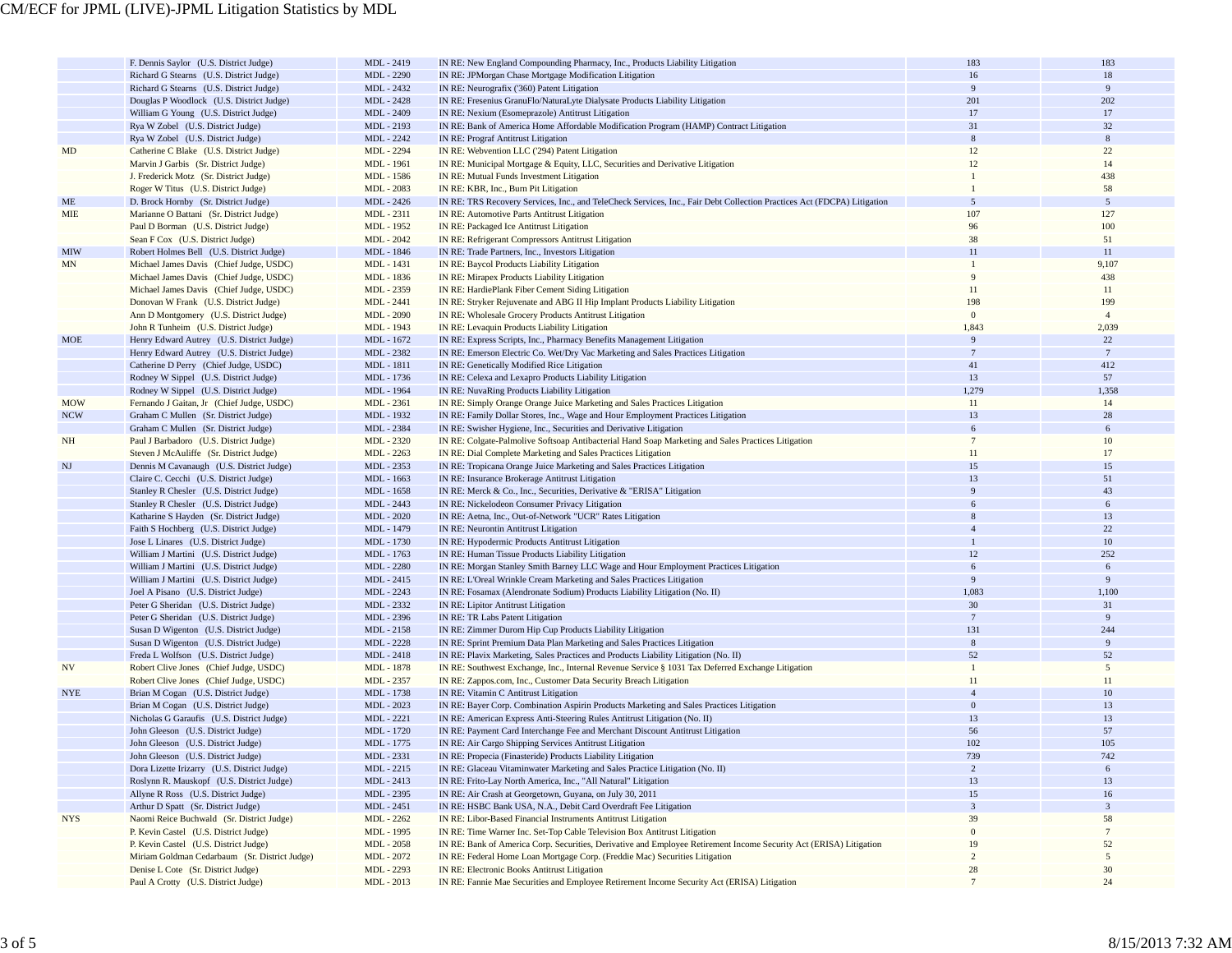|            | F. Dennis Saylor (U.S. District Judge)                                                   | MDL - 2419                      | IN RE: New England Compounding Pharmacy, Inc., Products Liability Litigation                                                                   | 183               | 183             |
|------------|------------------------------------------------------------------------------------------|---------------------------------|------------------------------------------------------------------------------------------------------------------------------------------------|-------------------|-----------------|
|            | Richard G Stearns (U.S. District Judge)                                                  | MDL - 2290                      | IN RE: JPMorgan Chase Mortgage Modification Litigation                                                                                         | 16                | 18              |
|            | Richard G Stearns (U.S. District Judge)                                                  | MDL - 2432                      | IN RE: Neurografix ('360) Patent Litigation                                                                                                    | 9                 | 9               |
|            | Douglas P Woodlock (U.S. District Judge)                                                 | MDL - 2428                      | IN RE: Fresenius GranuFlo/NaturaLyte Dialysate Products Liability Litigation                                                                   | 201               | 202             |
|            | William G Young (U.S. District Judge)                                                    | MDL - 2409                      | IN RE: Nexium (Esomeprazole) Antitrust Litigation                                                                                              | 17                | 17              |
|            | Rya W Zobel (U.S. District Judge)                                                        | MDL - 2193                      | IN RE: Bank of America Home Affordable Modification Program (HAMP) Contract Litigation                                                         | 31                | 32              |
|            | Rya W Zobel (U.S. District Judge)                                                        | MDL - 2242                      | <b>IN RE: Prograf Antitrust Litigation</b>                                                                                                     | $8\phantom{.}$    | $\,$ 8 $\,$     |
| MD         | Catherine C Blake (U.S. District Judge)                                                  | MDL - 2294                      | IN RE: Webvention LLC ('294) Patent Litigation                                                                                                 | 12                | 22              |
|            | Marvin J Garbis (Sr. District Judge)                                                     | MDL - 1961                      | IN RE: Municipal Mortgage & Equity, LLC, Securities and Derivative Litigation                                                                  | 12                | 14              |
|            | J. Frederick Motz (Sr. District Judge)                                                   | MDL - 1586                      | IN RE: Mutual Funds Investment Litigation                                                                                                      |                   | 438             |
|            | Roger W Titus (U.S. District Judge)                                                      | MDL - 2083                      | IN RE: KBR, Inc., Burn Pit Litigation                                                                                                          |                   | 58              |
| ME         | D. Brock Hornby (Sr. District Judge)                                                     | MDL - 2426                      | IN RE: TRS Recovery Services, Inc., and TeleCheck Services, Inc., Fair Debt Collection Practices Act (FDCPA) Litigation                        | 5                 | $5\overline{)}$ |
| MIE        | Marianne O Battani (Sr. District Judge)                                                  | MDL - 2311                      | IN RE: Automotive Parts Antitrust Litigation                                                                                                   | 107               | 127             |
|            | Paul D Borman (U.S. District Judge)                                                      | MDL - 1952                      | IN RE: Packaged Ice Antitrust Litigation                                                                                                       | 96                | 100             |
|            | Sean F Cox (U.S. District Judge)                                                         | MDL - 2042                      | IN RE: Refrigerant Compressors Antitrust Litigation                                                                                            | 38                | 51              |
| <b>MIW</b> | Robert Holmes Bell (U.S. District Judge)                                                 | MDL - 1846                      | IN RE: Trade Partners, Inc., Investors Litigation                                                                                              | 11                | 11              |
| MN         | Michael James Davis (Chief Judge, USDC)                                                  | MDL - 1431                      | IN RE: Baycol Products Liability Litigation                                                                                                    | $\mathbf{1}$<br>9 | 9,107           |
|            | Michael James Davis (Chief Judge, USDC)                                                  | MDL - 1836                      | IN RE: Mirapex Products Liability Litigation                                                                                                   |                   | 438             |
|            | Michael James Davis (Chief Judge, USDC)                                                  | MDL - 2359                      | IN RE: HardiePlank Fiber Cement Siding Litigation                                                                                              | 11<br>198         | 11<br>199       |
|            | Donovan W Frank (U.S. District Judge)                                                    | MDL - 2441<br><b>MDL</b> - 2090 | IN RE: Stryker Rejuvenate and ABG II Hip Implant Products Liability Litigation                                                                 | $\mathbf{0}$      | $\overline{4}$  |
|            | Ann D Montgomery (U.S. District Judge)<br>John R Tunheim (U.S. District Judge)           | MDL - 1943                      | IN RE: Wholesale Grocery Products Antitrust Litigation<br>IN RE: Levaquin Products Liability Litigation                                        | 1,843             | 2,039           |
| MOE        | Henry Edward Autrey (U.S. District Judge)                                                | MDL - 1672                      | IN RE: Express Scripts, Inc., Pharmacy Benefits Management Litigation                                                                          | 9                 | 22              |
|            | Henry Edward Autrey (U.S. District Judge)                                                | MDL - 2382                      | IN RE: Emerson Electric Co. Wet/Dry Vac Marketing and Sales Practices Litigation                                                               | $7\phantom{.0}$   | $7\phantom{.0}$ |
|            | Catherine D Perry (Chief Judge, USDC)                                                    | MDL - 1811                      | IN RE: Genetically Modified Rice Litigation                                                                                                    | 41                | 412             |
|            | Rodney W Sippel (U.S. District Judge)                                                    | MDL - 1736                      | IN RE: Celexa and Lexapro Products Liability Litigation                                                                                        | 13                | 57              |
|            | Rodney W Sippel (U.S. District Judge)                                                    | MDL - 1964                      | IN RE: NuvaRing Products Liability Litigation                                                                                                  | 1,279             | 1,358           |
| <b>MOW</b> | Fernando J Gaitan, Jr (Chief Judge, USDC)                                                | MDL - 2361                      | IN RE: Simply Orange Orange Juice Marketing and Sales Practices Litigation                                                                     | 11                | 14              |
| <b>NCW</b> | Graham C Mullen (Sr. District Judge)                                                     | MDL - 1932                      | IN RE: Family Dollar Stores, Inc., Wage and Hour Employment Practices Litigation                                                               | 13                | 28              |
|            | Graham C Mullen (Sr. District Judge)                                                     | MDL - 2384                      | IN RE: Swisher Hygiene, Inc., Securities and Derivative Litigation                                                                             | 6                 | 6               |
| NH         | Paul J Barbadoro (U.S. District Judge)                                                   | MDL - 2320                      | IN RE: Colgate-Palmolive Softsoap Antibacterial Hand Soap Marketing and Sales Practices Litigation                                             | $\tau$            | 10              |
|            | Steven J McAuliffe (Sr. District Judge)                                                  | MDL - 2263                      | IN RE: Dial Complete Marketing and Sales Practices Litigation                                                                                  | 11                | 17              |
| NJ         | Dennis M Cavanaugh (U.S. District Judge)                                                 | MDL - 2353                      | IN RE: Tropicana Orange Juice Marketing and Sales Practices Litigation                                                                         | 15                | 15              |
|            | Claire C. Cecchi (U.S. District Judge)                                                   | MDL - 1663                      | IN RE: Insurance Brokerage Antitrust Litigation                                                                                                | 13                | 51              |
|            | Stanley R Chesler (U.S. District Judge)                                                  | MDL - 1658                      | IN RE: Merck & Co., Inc., Securities, Derivative & "ERISA" Litigation                                                                          | $\overline{9}$    | 43              |
|            | Stanley R Chesler (U.S. District Judge)                                                  | MDL - 2443                      | IN RE: Nickelodeon Consumer Privacy Litigation                                                                                                 |                   | 6               |
|            | Katharine S Hayden (Sr. District Judge)                                                  | <b>MDL</b> - 2020               | IN RE: Aetna, Inc., Out-of-Network "UCR" Rates Litigation                                                                                      |                   | 13              |
|            | Faith S Hochberg (U.S. District Judge)                                                   | MDL - 1479                      | IN RE: Neurontin Antitrust Litigation                                                                                                          |                   | 22              |
|            | Jose L Linares (U.S. District Judge)                                                     | MDL - 1730                      | IN RE: Hypodermic Products Antitrust Litigation                                                                                                |                   | 10              |
|            | William J Martini (U.S. District Judge)                                                  | MDL - 1763                      | IN RE: Human Tissue Products Liability Litigation                                                                                              | 12                | 252             |
|            | William J Martini (U.S. District Judge)                                                  | MDL - 2280                      | IN RE: Morgan Stanley Smith Barney LLC Wage and Hour Employment Practices Litigation                                                           | 6                 | 6               |
|            | William J Martini (U.S. District Judge)                                                  | MDL - 2415                      | IN RE: L'Oreal Wrinkle Cream Marketing and Sales Practices Litigation                                                                          | 9                 | 9               |
|            | Joel A Pisano (U.S. District Judge)                                                      | MDL - 2243                      | IN RE: Fosamax (Alendronate Sodium) Products Liability Litigation (No. II)                                                                     | 1,083             | 1,100           |
|            | Peter G Sheridan (U.S. District Judge)                                                   | MDL - 2332                      | IN RE: Lipitor Antitrust Litigation                                                                                                            | 30                | 31              |
|            | Peter G Sheridan (U.S. District Judge)                                                   | MDL - 2396                      | IN RE: TR Labs Patent Litigation                                                                                                               | $7\phantom{.0}$   | 9               |
|            | Susan D Wigenton (U.S. District Judge)                                                   | MDL - 2158                      | IN RE: Zimmer Durom Hip Cup Products Liability Litigation                                                                                      | 131               | 244             |
|            | Susan D Wigenton (U.S. District Judge)                                                   | MDL - 2228                      | IN RE: Sprint Premium Data Plan Marketing and Sales Practices Litigation                                                                       | $\,8\,$           | 9               |
|            | Freda L Wolfson (U.S. District Judge)                                                    | MDL - 2418                      | IN RE: Plavix Marketing, Sales Practices and Products Liability Litigation (No. II)                                                            | 52                | 52              |
| <b>NV</b>  | Robert Clive Jones (Chief Judge, USDC)                                                   | MDL - 1878                      | IN RE: Southwest Exchange, Inc., Internal Revenue Service § 1031 Tax Deferred Exchange Litigation                                              | $\overline{1}$    | 5               |
|            | Robert Clive Jones (Chief Judge, USDC)                                                   | MDL - 2357                      | IN RE: Zappos.com, Inc., Customer Data Security Breach Litigation                                                                              | 11                | 11              |
| <b>NYE</b> | Brian M Cogan (U.S. District Judge)                                                      | MDL - 1738                      | IN RE: Vitamin C Antitrust Litigation                                                                                                          | $\overline{4}$    | 10              |
|            | Brian M Cogan (U.S. District Judge)                                                      | MDL - 2023                      | IN RE: Bayer Corp. Combination Aspirin Products Marketing and Sales Practices Litigation                                                       | $\mathbf{0}$      | 13              |
|            | Nicholas G Garaufis (U.S. District Judge)                                                | MDL - 2221                      | IN RE: American Express Anti-Steering Rules Antitrust Litigation (No. II)                                                                      | 13                | 13              |
|            | John Gleeson (U.S. District Judge)                                                       | MDL - 1720                      | IN RE: Payment Card Interchange Fee and Merchant Discount Antitrust Litigation                                                                 | 56                | 57              |
|            | John Gleeson (U.S. District Judge)<br>John Gleeson (U.S. District Judge)                 | MDL - 1775<br>MDL - 2331        | IN RE: Air Cargo Shipping Services Antitrust Litigation<br>IN RE: Propecia (Finasteride) Products Liability Litigation                         | 102<br>739        | 105             |
|            |                                                                                          |                                 |                                                                                                                                                | $\overline{c}$    | 6               |
|            | Dora Lizette Irizarry (U.S. District Judge)<br>Roslynn R. Mauskopf (U.S. District Judge) | MDL - 2215<br>MDL - 2413        | IN RE: Glaceau Vitaminwater Marketing and Sales Practice Litigation (No. II)<br>IN RE: Frito-Lay North America, Inc., "All Natural" Litigation | 13                | 13              |
|            | Allyne R Ross (U.S. District Judge)                                                      | MDL - 2395                      | IN RE: Air Crash at Georgetown, Guyana, on July 30, 2011                                                                                       | 15                | 16              |
|            | Arthur D Spatt (Sr. District Judge)                                                      | MDL - 2451                      | IN RE: HSBC Bank USA, N.A., Debit Card Overdraft Fee Litigation                                                                                | $\overline{3}$    | 3               |
| <b>NYS</b> | Naomi Reice Buchwald (Sr. District Judge)                                                | MDL - 2262                      | IN RE: Libor-Based Financial Instruments Antitrust Litigation                                                                                  | 39                | 58              |
|            | P. Kevin Castel (U.S. District Judge)                                                    | MDL - 1995                      | IN RE: Time Warner Inc. Set-Top Cable Television Box Antitrust Litigation                                                                      | $\mathbf{0}$      | $7\phantom{.0}$ |
|            | P. Kevin Castel (U.S. District Judge)                                                    | MDL - 2058                      | IN RE: Bank of America Corp. Securities, Derivative and Employee Retirement Income Security Act (ERISA) Litigation                             | 19                | 52              |
|            | Miriam Goldman Cedarbaum (Sr. District Judge)                                            | MDL - 2072                      | IN RE: Federal Home Loan Mortgage Corp. (Freddie Mac) Securities Litigation                                                                    | $\overline{c}$    | 5               |
|            | Denise L Cote (Sr. District Judge)                                                       | MDL - 2293                      | IN RE: Electronic Books Antitrust Litigation                                                                                                   | 28                | 30              |
|            | Paul A Crotty (U.S. District Judge)                                                      | MDL - 2013                      | IN RE: Fannie Mae Securities and Employee Retirement Income Security Act (ERISA) Litigation                                                    | $7\phantom{.0}$   | 24              |
|            |                                                                                          |                                 |                                                                                                                                                |                   |                 |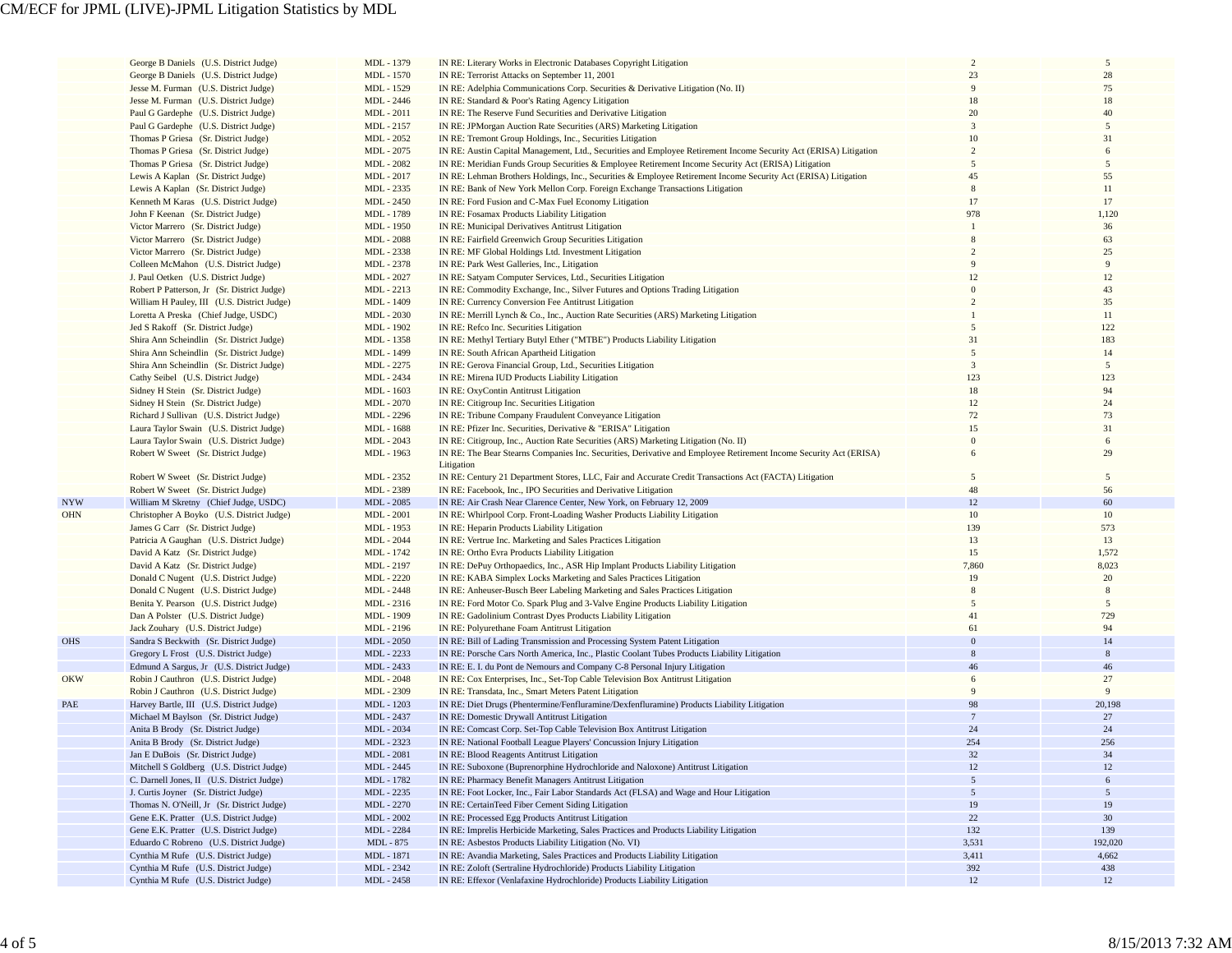|            | George B Daniels (U.S. District Judge)      | MDL - 1379        | IN RE: Literary Works in Electronic Databases Copyright Litigation                                                              | $\overline{2}$ | 5       |
|------------|---------------------------------------------|-------------------|---------------------------------------------------------------------------------------------------------------------------------|----------------|---------|
|            | George B Daniels (U.S. District Judge)      | MDL - 1570        | IN RE: Terrorist Attacks on September 11, 2001                                                                                  | 23             | 28      |
|            |                                             |                   |                                                                                                                                 | 9              | 75      |
|            | Jesse M. Furman (U.S. District Judge)       | MDL - 1529        | IN RE: Adelphia Communications Corp. Securities & Derivative Litigation (No. II)                                                |                |         |
|            | Jesse M. Furman (U.S. District Judge)       | MDL - 2446        | IN RE: Standard & Poor's Rating Agency Litigation                                                                               | 18             | 18      |
|            | Paul G Gardephe (U.S. District Judge)       | MDL - 2011        | IN RE: The Reserve Fund Securities and Derivative Litigation                                                                    | 20             | 40      |
|            | Paul G Gardephe (U.S. District Judge)       | MDL - 2157        | IN RE: JPMorgan Auction Rate Securities (ARS) Marketing Litigation                                                              | $\overline{3}$ | 5       |
|            | Thomas P Griesa (Sr. District Judge)        | MDL - 2052        | IN RE: Tremont Group Holdings, Inc., Securities Litigation                                                                      | 10             | 31      |
|            | Thomas P Griesa (Sr. District Judge)        | MDL - 2075        | IN RE: Austin Capital Management, Ltd., Securities and Employee Retirement Income Security Act (ERISA) Litigation               | $\overline{2}$ |         |
|            |                                             |                   |                                                                                                                                 |                |         |
|            | Thomas P Griesa (Sr. District Judge)        | MDL - 2082        | IN RE: Meridian Funds Group Securities & Employee Retirement Income Security Act (ERISA) Litigation                             | 5              | 5       |
|            | Lewis A Kaplan (Sr. District Judge)         | MDL - 2017        | IN RE: Lehman Brothers Holdings, Inc., Securities & Employee Retirement Income Security Act (ERISA) Litigation                  | 45             | 55      |
|            | Lewis A Kaplan (Sr. District Judge)         | MDL - 2335        | IN RE: Bank of New York Mellon Corp. Foreign Exchange Transactions Litigation                                                   |                | 11      |
|            | Kenneth M Karas (U.S. District Judge)       | MDL - 2450        | IN RE: Ford Fusion and C-Max Fuel Economy Litigation                                                                            | 17             | 17      |
|            | John F Keenan (Sr. District Judge)          | MDL - 1789        | IN RE: Fosamax Products Liability Litigation                                                                                    | 978            | 1,120   |
|            |                                             |                   |                                                                                                                                 |                | 36      |
|            | Victor Marrero (Sr. District Judge)         | MDL - 1950        | IN RE: Municipal Derivatives Antitrust Litigation                                                                               |                |         |
|            | Victor Marrero (Sr. District Judge)         | MDL - 2088        | IN RE: Fairfield Greenwich Group Securities Litigation                                                                          |                | 63      |
|            | Victor Marrero (Sr. District Judge)         | MDL - 2338        | IN RE: MF Global Holdings Ltd. Investment Litigation                                                                            |                | 25      |
|            | Colleen McMahon (U.S. District Judge)       | MDL - 2378        | IN RE: Park West Galleries, Inc., Litigation                                                                                    |                | 9       |
|            | J. Paul Oetken (U.S. District Judge)        | MDL - 2027        | IN RE: Satyam Computer Services, Ltd., Securities Litigation                                                                    |                | 12      |
|            | Robert P Patterson, Jr (Sr. District Judge) | MDL - 2213        | IN RE: Commodity Exchange, Inc., Silver Futures and Options Trading Litigation                                                  |                | 43      |
|            |                                             |                   |                                                                                                                                 |                | 35      |
|            | William H Pauley, III (U.S. District Judge) | MDL - 1409        | IN RE: Currency Conversion Fee Antitrust Litigation                                                                             |                |         |
|            | Loretta A Preska (Chief Judge, USDC)        | MDL - 2030        | IN RE: Merrill Lynch & Co., Inc., Auction Rate Securities (ARS) Marketing Litigation                                            |                | 11      |
|            | Jed S Rakoff (Sr. District Judge)           | MDL - 1902        | IN RE: Refco Inc. Securities Litigation                                                                                         |                | 122     |
|            | Shira Ann Scheindlin (Sr. District Judge)   | MDL - 1358        | IN RE: Methyl Tertiary Butyl Ether ("MTBE") Products Liability Litigation                                                       | 31             | 183     |
|            | Shira Ann Scheindlin (Sr. District Judge)   | MDL - 1499        | IN RE: South African Apartheid Litigation                                                                                       | $\overline{2}$ | 14      |
|            | Shira Ann Scheindlin (Sr. District Judge)   | MDL - 2275        | IN RE: Gerova Financial Group, Ltd., Securities Litigation                                                                      | 3              | 5       |
|            |                                             |                   |                                                                                                                                 | 123            | 123     |
|            | Cathy Seibel (U.S. District Judge)          | MDL - 2434        | IN RE: Mirena IUD Products Liability Litigation                                                                                 |                |         |
|            | Sidney H Stein (Sr. District Judge)         | MDL - 1603        | IN RE: OxyContin Antitrust Litigation                                                                                           | 18             | 94      |
|            | Sidney H Stein (Sr. District Judge)         | MDL - 2070        | IN RE: Citigroup Inc. Securities Litigation                                                                                     | 12             | 24      |
|            | Richard J Sullivan (U.S. District Judge)    | MDL - 2296        | IN RE: Tribune Company Fraudulent Conveyance Litigation                                                                         | 72             | 73      |
|            | Laura Taylor Swain (U.S. District Judge)    | MDL - 1688        | IN RE: Pfizer Inc. Securities, Derivative & "ERISA" Litigation                                                                  | 15             | 31      |
|            | Laura Taylor Swain (U.S. District Judge)    | MDL - 2043        | IN RE: Citigroup, Inc., Auction Rate Securities (ARS) Marketing Litigation (No. II)                                             | $\theta$       | 6       |
|            |                                             | MDL - 1963        |                                                                                                                                 | 6              | 29      |
|            | Robert W Sweet (Sr. District Judge)         |                   | IN RE: The Bear Stearns Companies Inc. Securities, Derivative and Employee Retirement Income Security Act (ERISA)<br>Litigation |                |         |
|            | Robert W Sweet (Sr. District Judge)         | MDL - 2352        | IN RE: Century 21 Department Stores, LLC, Fair and Accurate Credit Transactions Act (FACTA) Litigation                          | 5              | 5       |
|            | Robert W Sweet (Sr. District Judge)         | MDL - 2389        | IN RE: Facebook, Inc., IPO Securities and Derivative Litigation                                                                 | 48             | 56      |
| <b>NYW</b> | William M Skretny (Chief Judge, USDC)       | MDL - 2085        | IN RE: Air Crash Near Clarence Center, New York, on February 12, 2009                                                           | 12             | 60      |
| <b>OHN</b> | Christopher A Boyko (U.S. District Judge)   | MDL - 2001        | IN RE: Whirlpool Corp. Front-Loading Washer Products Liability Litigation                                                       | 10             | 10      |
|            | James G Carr (Sr. District Judge)           | MDL - 1953        | IN RE: Heparin Products Liability Litigation                                                                                    | 139            | 573     |
|            |                                             |                   |                                                                                                                                 |                |         |
|            | Patricia A Gaughan (U.S. District Judge)    | MDL - 2044        | IN RE: Vertrue Inc. Marketing and Sales Practices Litigation                                                                    | 13             | 13      |
|            | David A Katz (Sr. District Judge)           | MDL - 1742        | IN RE: Ortho Evra Products Liability Litigation                                                                                 | 15             | 1,572   |
|            | David A Katz (Sr. District Judge)           | MDL - 2197        | IN RE: DePuy Orthopaedics, Inc., ASR Hip Implant Products Liability Litigation                                                  | 7,860          | 8,023   |
|            | Donald C Nugent (U.S. District Judge)       | MDL - 2220        | IN RE: KABA Simplex Locks Marketing and Sales Practices Litigation                                                              | 19             | 20      |
|            | Donald C Nugent (U.S. District Judge)       | MDL - 2448        | IN RE: Anheuser-Busch Beer Labeling Marketing and Sales Practices Litigation                                                    | 8              | 8       |
|            | Benita Y. Pearson (U.S. District Judge)     | MDL - 2316        | IN RE: Ford Motor Co. Spark Plug and 3-Valve Engine Products Liability Litigation                                               | 5              | 5       |
|            |                                             |                   |                                                                                                                                 | 41             | 729     |
|            | Dan A Polster (U.S. District Judge)         | MDL - 1909        | IN RE: Gadolinium Contrast Dyes Products Liability Litigation                                                                   |                |         |
|            | Jack Zouhary (U.S. District Judge)          | MDL - 2196        | IN RE: Polyurethane Foam Antitrust Litigation                                                                                   | 61             | 94      |
| <b>OHS</b> | Sandra S Beckwith (Sr. District Judge)      | MDL - 2050        | IN RE: Bill of Lading Transmission and Processing System Patent Litigation                                                      | $\overline{0}$ | 14      |
|            | Gregory L Frost (U.S. District Judge)       | MDL - 2233        | IN RE: Porsche Cars North America, Inc., Plastic Coolant Tubes Products Liability Litigation                                    | 8              | 8       |
|            | Edmund A Sargus, Jr (U.S. District Judge)   | MDL - 2433        | IN RE: E. I. du Pont de Nemours and Company C-8 Personal Injury Litigation                                                      | 46             | 46      |
| <b>OKW</b> | Robin J Cauthron (U.S. District Judge)      | MDL - 2048        | IN RE: Cox Enterprises, Inc., Set-Top Cable Television Box Antitrust Litigation                                                 | 6              | 27      |
|            |                                             |                   |                                                                                                                                 | 9              | 9       |
|            | Robin J Cauthron (U.S. District Judge)      | MDL - 2309        | IN RE: Transdata, Inc., Smart Meters Patent Litigation                                                                          |                |         |
| PAE        | Harvey Bartle, III (U.S. District Judge)    | MDL - 1203        | IN RE: Diet Drugs (Phentermine/Fenfluramine/Dexfenfluramine) Products Liability Litigation                                      | 98             | 20,198  |
|            | Michael M Baylson (Sr. District Judge)      | MDL - 2437        | IN RE: Domestic Drywall Antitrust Litigation                                                                                    | 7              | 27      |
|            | Anita B Brody (Sr. District Judge)          | MDL - 2034        | IN RE: Comcast Corp. Set-Top Cable Television Box Antitrust Litigation                                                          | 24             | 24      |
|            | Anita B Brody (Sr. District Judge)          | MDL - 2323        | IN RE: National Football League Players' Concussion Injury Litigation                                                           | 254            | 256     |
|            | Jan E DuBois (Sr. District Judge)           | <b>MDL</b> - 2081 | <b>IN RE: Blood Reagents Antitrust Litigation</b>                                                                               | 32             | 34      |
|            | Mitchell S Goldberg (U.S. District Judge)   | MDL - 2445        | IN RE: Suboxone (Buprenorphine Hydrochloride and Naloxone) Antitrust Litigation                                                 | 12             | 12      |
|            |                                             | MDL - 1782        |                                                                                                                                 | $\overline{5}$ | 6       |
|            | C. Darnell Jones, II (U.S. District Judge)  |                   | IN RE: Pharmacy Benefit Managers Antitrust Litigation                                                                           |                |         |
|            | J. Curtis Joyner (Sr. District Judge)       | MDL - 2235        | IN RE: Foot Locker, Inc., Fair Labor Standards Act (FLSA) and Wage and Hour Litigation                                          | 5              | 5       |
|            | Thomas N. O'Neill, Jr (Sr. District Judge)  | MDL - 2270        | IN RE: CertainTeed Fiber Cement Siding Litigation                                                                               | 19             | 19      |
|            | Gene E.K. Pratter (U.S. District Judge)     | MDL - 2002        | IN RE: Processed Egg Products Antitrust Litigation                                                                              | $22\,$         | 30      |
|            | Gene E.K. Pratter (U.S. District Judge)     | MDL - 2284        | IN RE: Imprelis Herbicide Marketing, Sales Practices and Products Liability Litigation                                          | 132            | 139     |
|            | Eduardo C Robreno (U.S. District Judge)     | MDL - 875         | IN RE: Asbestos Products Liability Litigation (No. VI)                                                                          | 3,531          | 192,020 |
|            |                                             |                   |                                                                                                                                 |                |         |
|            | Cynthia M Rufe (U.S. District Judge)        | MDL - 1871        | IN RE: Avandia Marketing, Sales Practices and Products Liability Litigation                                                     | 3,411          | 4,662   |
|            | Cynthia M Rufe (U.S. District Judge)        | MDL - 2342        | IN RE: Zoloft (Sertraline Hydrochloride) Products Liability Litigation                                                          | 392            | 438     |
|            | Cynthia M Rufe (U.S. District Judge)        | MDL - 2458        | IN RE: Effexor (Venlafaxine Hydrochloride) Products Liability Litigation                                                        | 12             | 12      |
|            |                                             |                   |                                                                                                                                 |                |         |